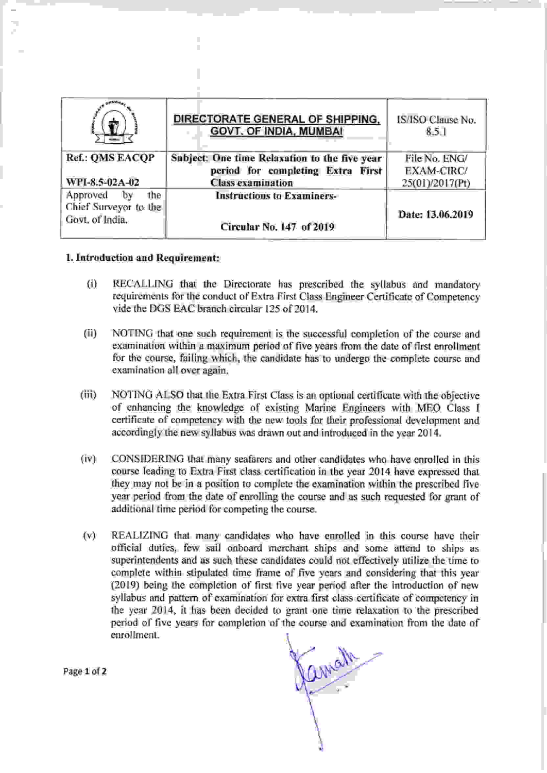|                                                                   | DIRECTORATE GENERAL OF SHIPPING,<br><b>GOVT. OF INDIA, MUMBAI</b>                                              | IS/ISO Clause No.<br>8.5.1                     |
|-------------------------------------------------------------------|----------------------------------------------------------------------------------------------------------------|------------------------------------------------|
| Ref.: OMS EACOP<br>WFI-8.5-02A-02                                 | Subject: One time Relaxation to the five year<br>period for completing Extra First<br><b>Class examination</b> | File No. ENG/<br>EXAM-CIRC/<br>25(01)/2017(Pt) |
| Approved<br>the<br>Ъy<br>Chief Surveyor to the<br>Govt. of India. | <b>Instructions to Examiners-</b><br>Circular No. 147 of 2019                                                  | Date: 13.06.2019                               |

## l. Introduction and Requirement:

Ì.

- (i) RECALLING that the Directorate has prescribed the syllabus and mandatory requirements for the conduct of Extra First Class Engineer Certificate of Competency vide the DGS EAC branch circular 125 of 2014.
- NOTING that one such requirement is the successful completion of the course and examination within a maximum period of five years from the date of first enrollment for the course, failing which, the candidate has to undergo the complete course and examination all over again. ( ii)
- NOTING ALSO that the Extra First Class is an optional certificate with the objective of enhancing the knowledge of existing Marine Engineers with MEO Class I certificate of competency with the new tools for their professional development and accordingly the new syllabus was drawn out and introduced in the year 2014. (iii)
- CONSIDERING that many seafarers and other candidates who have enrolled in this course leading to Extra First class certification in the year 2014 have expressed that they may not be in a position to complete the examination within the prescribed five year period from the date of enrolling the course and as such requested for grant of additional time period for competing the course. (iv)
- (v) REALIZING that many candidates who have enrolled in this course have their official duties, few sail onboard merchant ships and some attend to ships as superintendents and as such these candidates could not effectively utilize the time to complete within stipulated time frame of five years and considering that this year (2019) being the completion of first five year period after the introduction of new syllabus and pattern of examination for extra first class certificate of competency in the year 2014, it has been decided to grant one time relaxation to the prescribed period of five years for completion of the course and examination from the date of enrollment.

Comal

Page 1 of 2